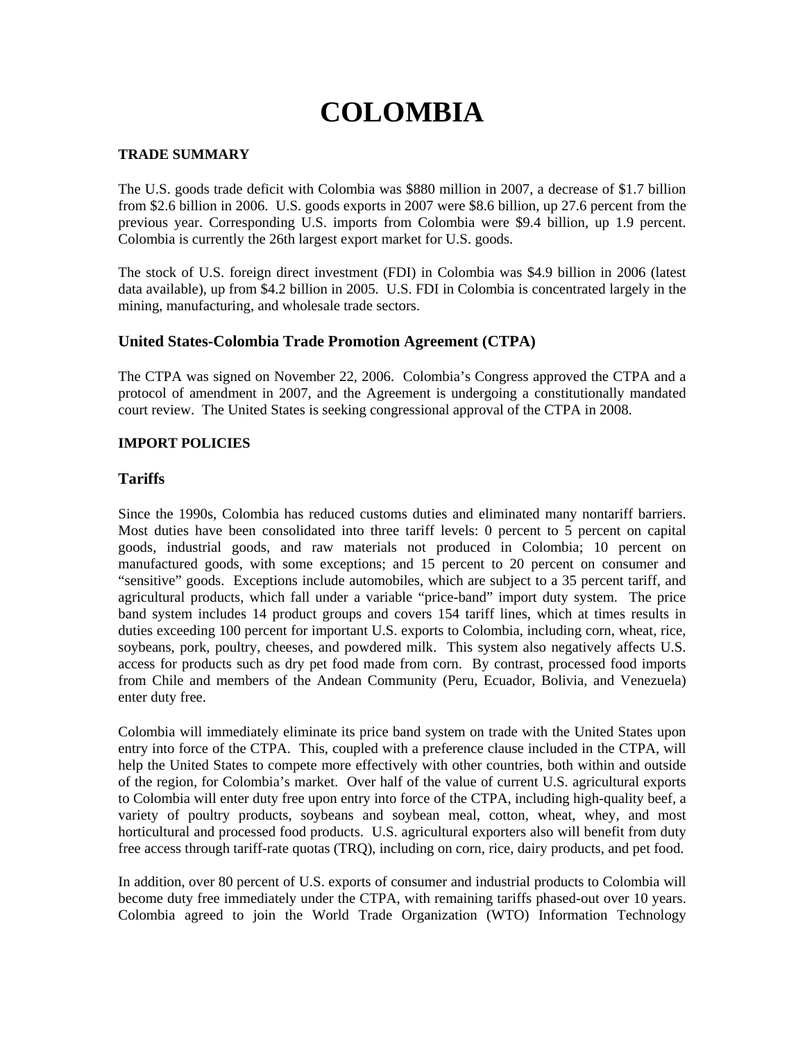# **COLOMBIA**

## **TRADE SUMMARY**

The U.S. goods trade deficit with Colombia was \$880 million in 2007, a decrease of \$1.7 billion from \$2.6 billion in 2006. U.S. goods exports in 2007 were \$8.6 billion, up 27.6 percent from the previous year. Corresponding U.S. imports from Colombia were \$9.4 billion, up 1.9 percent. Colombia is currently the 26th largest export market for U.S. goods.

The stock of U.S. foreign direct investment (FDI) in Colombia was \$4.9 billion in 2006 (latest data available), up from \$4.2 billion in 2005. U.S. FDI in Colombia is concentrated largely in the mining, manufacturing, and wholesale trade sectors.

# **United States-Colombia Trade Promotion Agreement (CTPA)**

The CTPA was signed on November 22, 2006. Colombia's Congress approved the CTPA and a protocol of amendment in 2007, and the Agreement is undergoing a constitutionally mandated court review. The United States is seeking congressional approval of the CTPA in 2008.

## **IMPORT POLICIES**

# **Tariffs**

Since the 1990s, Colombia has reduced customs duties and eliminated many nontariff barriers. Most duties have been consolidated into three tariff levels: 0 percent to 5 percent on capital goods, industrial goods, and raw materials not produced in Colombia; 10 percent on manufactured goods, with some exceptions; and 15 percent to 20 percent on consumer and "sensitive" goods. Exceptions include automobiles, which are subject to a 35 percent tariff, and agricultural products, which fall under a variable "price-band" import duty system. The price band system includes 14 product groups and covers 154 tariff lines, which at times results in duties exceeding 100 percent for important U.S. exports to Colombia, including corn, wheat, rice, soybeans, pork, poultry, cheeses, and powdered milk. This system also negatively affects U.S. access for products such as dry pet food made from corn. By contrast, processed food imports from Chile and members of the Andean Community (Peru, Ecuador, Bolivia, and Venezuela) enter duty free.

Colombia will immediately eliminate its price band system on trade with the United States upon entry into force of the CTPA. This, coupled with a preference clause included in the CTPA, will help the United States to compete more effectively with other countries, both within and outside of the region, for Colombia's market. Over half of the value of current U.S. agricultural exports to Colombia will enter duty free upon entry into force of the CTPA, including high-quality beef, a variety of poultry products, soybeans and soybean meal, cotton, wheat, whey, and most horticultural and processed food products. U.S. agricultural exporters also will benefit from duty free access through tariff-rate quotas (TRQ), including on corn, rice, dairy products, and pet food.

In addition, over 80 percent of U.S. exports of consumer and industrial products to Colombia will become duty free immediately under the CTPA, with remaining tariffs phased-out over 10 years. Colombia agreed to join the World Trade Organization (WTO) Information Technology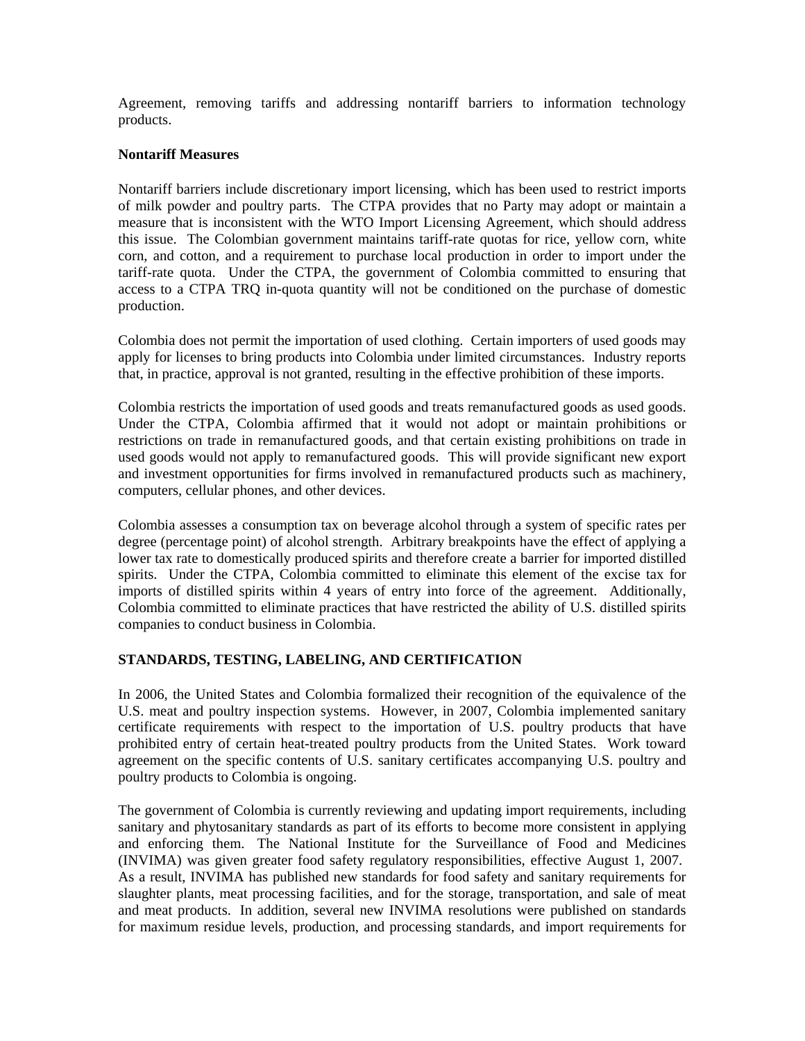Agreement, removing tariffs and addressing nontariff barriers to information technology products.

## **Nontariff Measures**

Nontariff barriers include discretionary import licensing, which has been used to restrict imports of milk powder and poultry parts. The CTPA provides that no Party may adopt or maintain a measure that is inconsistent with the WTO Import Licensing Agreement, which should address this issue. The Colombian government maintains tariff-rate quotas for rice, yellow corn, white corn, and cotton, and a requirement to purchase local production in order to import under the tariff-rate quota. Under the CTPA, the government of Colombia committed to ensuring that access to a CTPA TRQ in-quota quantity will not be conditioned on the purchase of domestic production.

Colombia does not permit the importation of used clothing. Certain importers of used goods may apply for licenses to bring products into Colombia under limited circumstances. Industry reports that, in practice, approval is not granted, resulting in the effective prohibition of these imports.

Colombia restricts the importation of used goods and treats remanufactured goods as used goods. Under the CTPA, Colombia affirmed that it would not adopt or maintain prohibitions or restrictions on trade in remanufactured goods, and that certain existing prohibitions on trade in used goods would not apply to remanufactured goods. This will provide significant new export and investment opportunities for firms involved in remanufactured products such as machinery, computers, cellular phones, and other devices.

Colombia assesses a consumption tax on beverage alcohol through a system of specific rates per degree (percentage point) of alcohol strength. Arbitrary breakpoints have the effect of applying a lower tax rate to domestically produced spirits and therefore create a barrier for imported distilled spirits. Under the CTPA, Colombia committed to eliminate this element of the excise tax for imports of distilled spirits within 4 years of entry into force of the agreement. Additionally, Colombia committed to eliminate practices that have restricted the ability of U.S. distilled spirits companies to conduct business in Colombia.

### **STANDARDS, TESTING, LABELING, AND CERTIFICATION**

In 2006, the United States and Colombia formalized their recognition of the equivalence of the U.S. meat and poultry inspection systems. However, in 2007, Colombia implemented sanitary certificate requirements with respect to the importation of U.S. poultry products that have prohibited entry of certain heat-treated poultry products from the United States. Work toward agreement on the specific contents of U.S. sanitary certificates accompanying U.S. poultry and poultry products to Colombia is ongoing.

The government of Colombia is currently reviewing and updating import requirements, including sanitary and phytosanitary standards as part of its efforts to become more consistent in applying and enforcing them. The National Institute for the Surveillance of Food and Medicines (INVIMA) was given greater food safety regulatory responsibilities, effective August 1, 2007. As a result, INVIMA has published new standards for food safety and sanitary requirements for slaughter plants, meat processing facilities, and for the storage, transportation, and sale of meat and meat products. In addition, several new INVIMA resolutions were published on standards for maximum residue levels, production, and processing standards, and import requirements for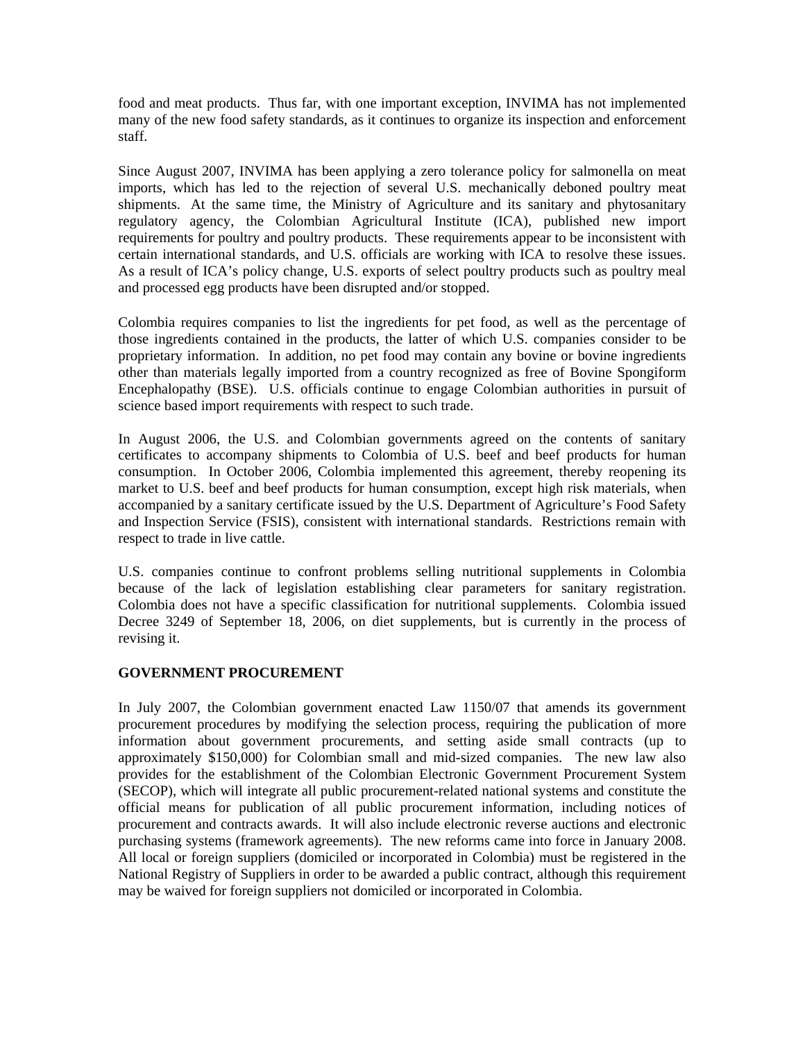food and meat products. Thus far, with one important exception, INVIMA has not implemented many of the new food safety standards, as it continues to organize its inspection and enforcement staff.

Since August 2007, INVIMA has been applying a zero tolerance policy for salmonella on meat imports, which has led to the rejection of several U.S. mechanically deboned poultry meat shipments. At the same time, the Ministry of Agriculture and its sanitary and phytosanitary regulatory agency, the Colombian Agricultural Institute (ICA), published new import requirements for poultry and poultry products. These requirements appear to be inconsistent with certain international standards, and U.S. officials are working with ICA to resolve these issues. As a result of ICA's policy change, U.S. exports of select poultry products such as poultry meal and processed egg products have been disrupted and/or stopped.

Colombia requires companies to list the ingredients for pet food, as well as the percentage of those ingredients contained in the products, the latter of which U.S. companies consider to be proprietary information. In addition, no pet food may contain any bovine or bovine ingredients other than materials legally imported from a country recognized as free of Bovine Spongiform Encephalopathy (BSE). U.S. officials continue to engage Colombian authorities in pursuit of science based import requirements with respect to such trade.

In August 2006, the U.S. and Colombian governments agreed on the contents of sanitary certificates to accompany shipments to Colombia of U.S. beef and beef products for human consumption. In October 2006, Colombia implemented this agreement, thereby reopening its market to U.S. beef and beef products for human consumption, except high risk materials, when accompanied by a sanitary certificate issued by the U.S. Department of Agriculture's Food Safety and Inspection Service (FSIS), consistent with international standards. Restrictions remain with respect to trade in live cattle.

U.S. companies continue to confront problems selling nutritional supplements in Colombia because of the lack of legislation establishing clear parameters for sanitary registration. Colombia does not have a specific classification for nutritional supplements. Colombia issued Decree 3249 of September 18, 2006, on diet supplements, but is currently in the process of revising it.

### **GOVERNMENT PROCUREMENT**

In July 2007, the Colombian government enacted Law 1150/07 that amends its government procurement procedures by modifying the selection process, requiring the publication of more information about government procurements, and setting aside small contracts (up to approximately \$150,000) for Colombian small and mid-sized companies. The new law also provides for the establishment of the Colombian Electronic Government Procurement System (SECOP), which will integrate all public procurement-related national systems and constitute the official means for publication of all public procurement information, including notices of procurement and contracts awards. It will also include electronic reverse auctions and electronic purchasing systems (framework agreements). The new reforms came into force in January 2008. All local or foreign suppliers (domiciled or incorporated in Colombia) must be registered in the National Registry of Suppliers in order to be awarded a public contract, although this requirement may be waived for foreign suppliers not domiciled or incorporated in Colombia.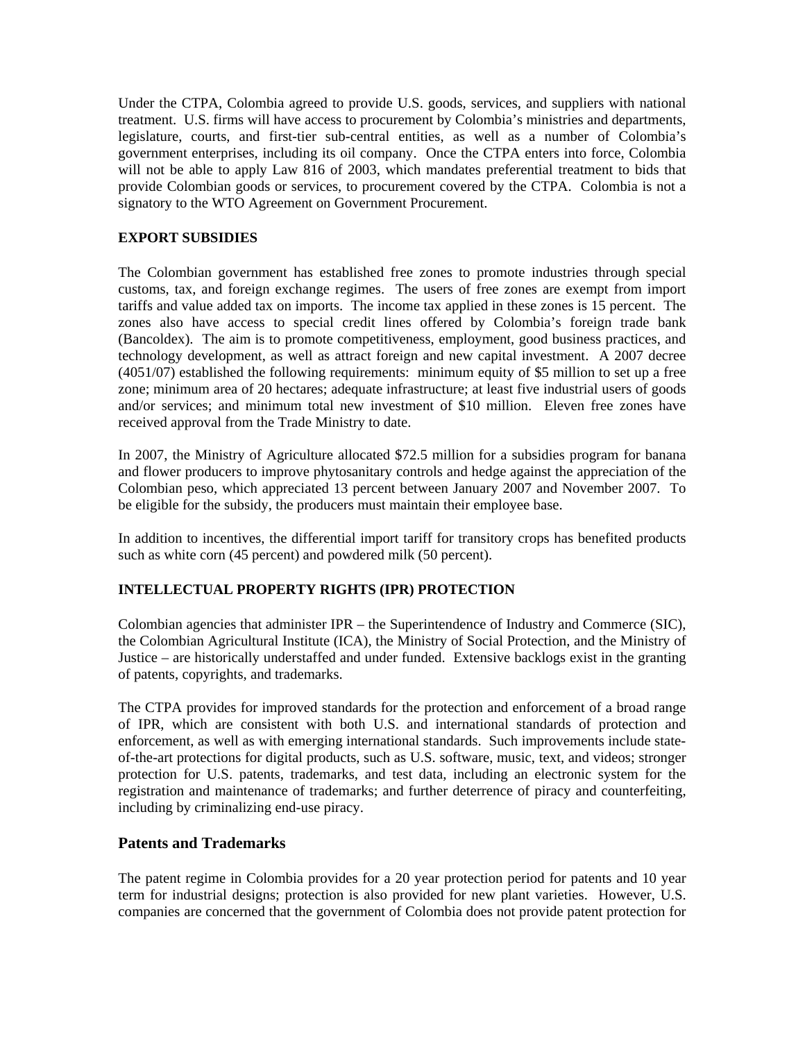Under the CTPA, Colombia agreed to provide U.S. goods, services, and suppliers with national treatment. U.S. firms will have access to procurement by Colombia's ministries and departments, legislature, courts, and first-tier sub-central entities, as well as a number of Colombia's government enterprises, including its oil company. Once the CTPA enters into force, Colombia will not be able to apply Law 816 of 2003, which mandates preferential treatment to bids that provide Colombian goods or services, to procurement covered by the CTPA. Colombia is not a signatory to the WTO Agreement on Government Procurement.

## **EXPORT SUBSIDIES**

The Colombian government has established free zones to promote industries through special customs, tax, and foreign exchange regimes. The users of free zones are exempt from import tariffs and value added tax on imports. The income tax applied in these zones is 15 percent. The zones also have access to special credit lines offered by Colombia's foreign trade bank (Bancoldex). The aim is to promote competitiveness, employment, good business practices, and technology development, as well as attract foreign and new capital investment. A 2007 decree (4051/07) established the following requirements: minimum equity of \$5 million to set up a free zone; minimum area of 20 hectares; adequate infrastructure; at least five industrial users of goods and/or services; and minimum total new investment of \$10 million. Eleven free zones have received approval from the Trade Ministry to date.

In 2007, the Ministry of Agriculture allocated \$72.5 million for a subsidies program for banana and flower producers to improve phytosanitary controls and hedge against the appreciation of the Colombian peso, which appreciated 13 percent between January 2007 and November 2007. To be eligible for the subsidy, the producers must maintain their employee base.

In addition to incentives, the differential import tariff for transitory crops has benefited products such as white corn (45 percent) and powdered milk (50 percent).

# **INTELLECTUAL PROPERTY RIGHTS (IPR) PROTECTION**

Colombian agencies that administer IPR – the Superintendence of Industry and Commerce (SIC), the Colombian Agricultural Institute (ICA), the Ministry of Social Protection, and the Ministry of Justice – are historically understaffed and under funded. Extensive backlogs exist in the granting of patents, copyrights, and trademarks.

The CTPA provides for improved standards for the protection and enforcement of a broad range of IPR, which are consistent with both U.S. and international standards of protection and enforcement, as well as with emerging international standards. Such improvements include stateof-the-art protections for digital products, such as U.S. software, music, text, and videos; stronger protection for U.S. patents, trademarks, and test data, including an electronic system for the registration and maintenance of trademarks; and further deterrence of piracy and counterfeiting, including by criminalizing end-use piracy.

### **Patents and Trademarks**

The patent regime in Colombia provides for a 20 year protection period for patents and 10 year term for industrial designs; protection is also provided for new plant varieties. However, U.S. companies are concerned that the government of Colombia does not provide patent protection for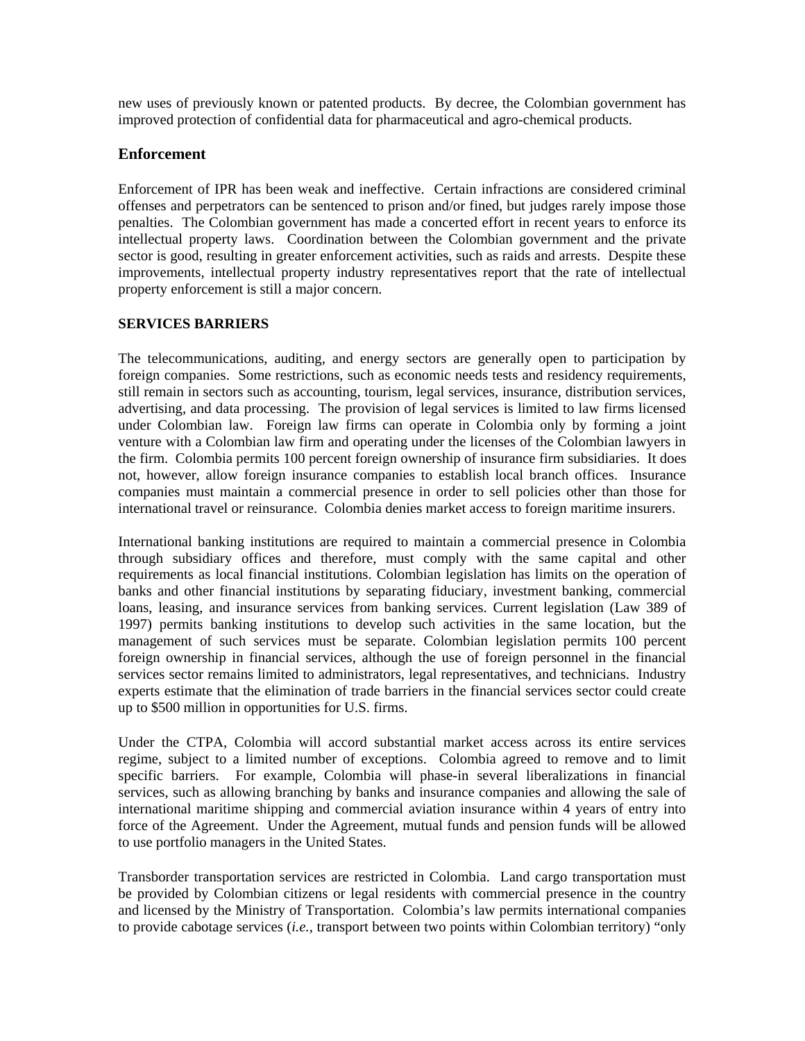new uses of previously known or patented products. By decree, the Colombian government has improved protection of confidential data for pharmaceutical and agro-chemical products.

## **Enforcement**

Enforcement of IPR has been weak and ineffective. Certain infractions are considered criminal offenses and perpetrators can be sentenced to prison and/or fined, but judges rarely impose those penalties. The Colombian government has made a concerted effort in recent years to enforce its intellectual property laws. Coordination between the Colombian government and the private sector is good, resulting in greater enforcement activities, such as raids and arrests. Despite these improvements, intellectual property industry representatives report that the rate of intellectual property enforcement is still a major concern.

### **SERVICES BARRIERS**

The telecommunications, auditing, and energy sectors are generally open to participation by foreign companies. Some restrictions, such as economic needs tests and residency requirements, still remain in sectors such as accounting, tourism, legal services, insurance, distribution services, advertising, and data processing. The provision of legal services is limited to law firms licensed under Colombian law. Foreign law firms can operate in Colombia only by forming a joint venture with a Colombian law firm and operating under the licenses of the Colombian lawyers in the firm. Colombia permits 100 percent foreign ownership of insurance firm subsidiaries. It does not, however, allow foreign insurance companies to establish local branch offices. Insurance companies must maintain a commercial presence in order to sell policies other than those for international travel or reinsurance. Colombia denies market access to foreign maritime insurers.

International banking institutions are required to maintain a commercial presence in Colombia through subsidiary offices and therefore, must comply with the same capital and other requirements as local financial institutions. Colombian legislation has limits on the operation of banks and other financial institutions by separating fiduciary, investment banking, commercial loans, leasing, and insurance services from banking services. Current legislation (Law 389 of 1997) permits banking institutions to develop such activities in the same location, but the management of such services must be separate. Colombian legislation permits 100 percent foreign ownership in financial services, although the use of foreign personnel in the financial services sector remains limited to administrators, legal representatives, and technicians. Industry experts estimate that the elimination of trade barriers in the financial services sector could create up to \$500 million in opportunities for U.S. firms.

Under the CTPA, Colombia will accord substantial market access across its entire services regime, subject to a limited number of exceptions. Colombia agreed to remove and to limit specific barriers. For example, Colombia will phase-in several liberalizations in financial services, such as allowing branching by banks and insurance companies and allowing the sale of international maritime shipping and commercial aviation insurance within 4 years of entry into force of the Agreement. Under the Agreement, mutual funds and pension funds will be allowed to use portfolio managers in the United States.

Transborder transportation services are restricted in Colombia. Land cargo transportation must be provided by Colombian citizens or legal residents with commercial presence in the country and licensed by the Ministry of Transportation. Colombia's law permits international companies to provide cabotage services (*i.e.*, transport between two points within Colombian territory) "only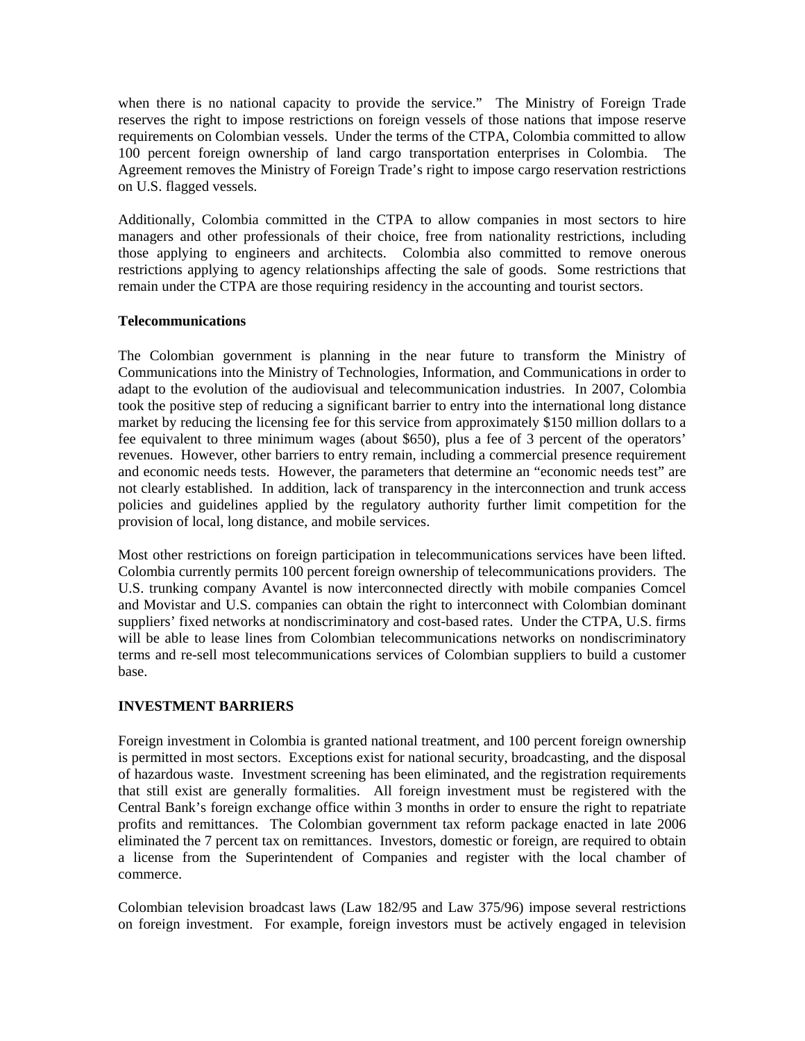when there is no national capacity to provide the service." The Ministry of Foreign Trade reserves the right to impose restrictions on foreign vessels of those nations that impose reserve requirements on Colombian vessels. Under the terms of the CTPA, Colombia committed to allow 100 percent foreign ownership of land cargo transportation enterprises in Colombia. The Agreement removes the Ministry of Foreign Trade's right to impose cargo reservation restrictions on U.S. flagged vessels.

Additionally, Colombia committed in the CTPA to allow companies in most sectors to hire managers and other professionals of their choice, free from nationality restrictions, including those applying to engineers and architects. Colombia also committed to remove onerous restrictions applying to agency relationships affecting the sale of goods. Some restrictions that remain under the CTPA are those requiring residency in the accounting and tourist sectors.

#### **Telecommunications**

The Colombian government is planning in the near future to transform the Ministry of Communications into the Ministry of Technologies, Information, and Communications in order to adapt to the evolution of the audiovisual and telecommunication industries. In 2007, Colombia took the positive step of reducing a significant barrier to entry into the international long distance market by reducing the licensing fee for this service from approximately \$150 million dollars to a fee equivalent to three minimum wages (about \$650), plus a fee of 3 percent of the operators' revenues. However, other barriers to entry remain, including a commercial presence requirement and economic needs tests. However, the parameters that determine an "economic needs test" are not clearly established. In addition, lack of transparency in the interconnection and trunk access policies and guidelines applied by the regulatory authority further limit competition for the provision of local, long distance, and mobile services.

Most other restrictions on foreign participation in telecommunications services have been lifted. Colombia currently permits 100 percent foreign ownership of telecommunications providers. The U.S. trunking company Avantel is now interconnected directly with mobile companies Comcel and Movistar and U.S. companies can obtain the right to interconnect with Colombian dominant suppliers' fixed networks at nondiscriminatory and cost-based rates. Under the CTPA, U.S. firms will be able to lease lines from Colombian telecommunications networks on nondiscriminatory terms and re-sell most telecommunications services of Colombian suppliers to build a customer base.

### **INVESTMENT BARRIERS**

Foreign investment in Colombia is granted national treatment, and 100 percent foreign ownership is permitted in most sectors. Exceptions exist for national security, broadcasting, and the disposal of hazardous waste. Investment screening has been eliminated, and the registration requirements that still exist are generally formalities. All foreign investment must be registered with the Central Bank's foreign exchange office within 3 months in order to ensure the right to repatriate profits and remittances. The Colombian government tax reform package enacted in late 2006 eliminated the 7 percent tax on remittances. Investors, domestic or foreign, are required to obtain a license from the Superintendent of Companies and register with the local chamber of commerce.

Colombian television broadcast laws (Law 182/95 and Law 375/96) impose several restrictions on foreign investment. For example, foreign investors must be actively engaged in television